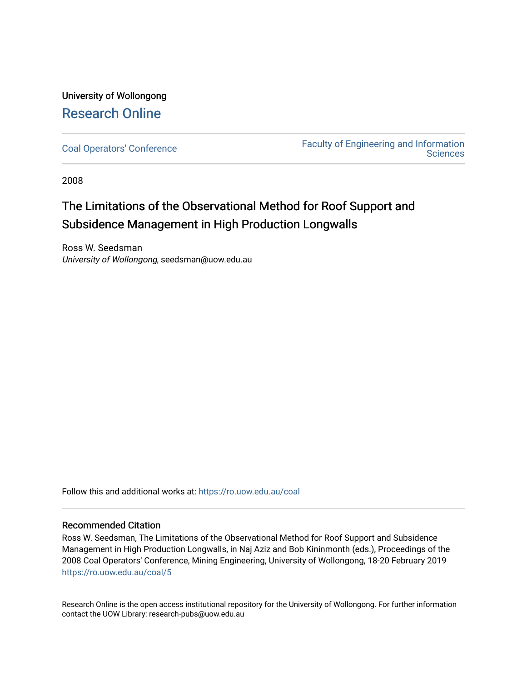University of Wollongong [Research Online](https://ro.uow.edu.au/) 

[Coal Operators' Conference](https://ro.uow.edu.au/coal) [Faculty of Engineering and Information](https://ro.uow.edu.au/eis)  **Sciences** 

2008

## The Limitations of the Observational Method for Roof Support and Subsidence Management in High Production Longwalls

Ross W. Seedsman University of Wollongong, seedsman@uow.edu.au

Follow this and additional works at: [https://ro.uow.edu.au/coal](https://ro.uow.edu.au/coal?utm_source=ro.uow.edu.au%2Fcoal%2F5&utm_medium=PDF&utm_campaign=PDFCoverPages) 

#### Recommended Citation

Ross W. Seedsman, The Limitations of the Observational Method for Roof Support and Subsidence Management in High Production Longwalls, in Naj Aziz and Bob Kininmonth (eds.), Proceedings of the 2008 Coal Operators' Conference, Mining Engineering, University of Wollongong, 18-20 February 2019 [https://ro.uow.edu.au/coal/5](https://ro.uow.edu.au/coal/5?utm_source=ro.uow.edu.au%2Fcoal%2F5&utm_medium=PDF&utm_campaign=PDFCoverPages)

Research Online is the open access institutional repository for the University of Wollongong. For further information contact the UOW Library: research-pubs@uow.edu.au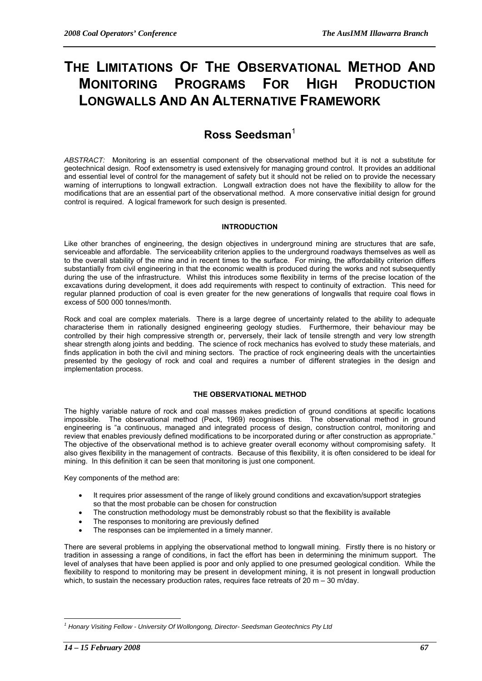# **THE LIMITATIONS OF THE OBSERVATIONAL METHOD AND MONITORING PROGRAMS FOR HIGH PRODUCTION LONGWALLS AND AN ALTERNATIVE FRAMEWORK**

### **Ross Seedsman**<sup>1</sup>

*ABSTRACT:* Monitoring is an essential component of the observational method but it is not a substitute for geotechnical design. Roof extensometry is used extensively for managing ground control. It provides an additional and essential level of control for the management of safety but it should not be relied on to provide the necessary warning of interruptions to longwall extraction. Longwall extraction does not have the flexibility to allow for the modifications that are an essential part of the observational method. A more conservative initial design for ground control is required. A logical framework for such design is presented.

#### **INTRODUCTION**

Like other branches of engineering, the design objectives in underground mining are structures that are safe, serviceable and affordable. The serviceability criterion applies to the underground roadways themselves as well as to the overall stability of the mine and in recent times to the surface. For mining, the affordability criterion differs substantially from civil engineering in that the economic wealth is produced during the works and not subsequently during the use of the infrastructure. Whilst this introduces some flexibility in terms of the precise location of the excavations during development, it does add requirements with respect to continuity of extraction. This need for regular planned production of coal is even greater for the new generations of longwalls that require coal flows in excess of 500 000 tonnes/month.

Rock and coal are complex materials. There is a large degree of uncertainty related to the ability to adequate characterise them in rationally designed engineering geology studies. Furthermore, their behaviour may be controlled by their high compressive strength or, perversely, their lack of tensile strength and very low strength shear strength along joints and bedding. The science of rock mechanics has evolved to study these materials, and finds application in both the civil and mining sectors. The practice of rock engineering deals with the uncertainties presented by the geology of rock and coal and requires a number of different strategies in the design and implementation process.

#### **THE OBSERVATIONAL METHOD**

The highly variable nature of rock and coal masses makes prediction of ground conditions at specific locations impossible. The observational method (Peck, 1969) recognises this. The observational method in ground engineering is "a continuous, managed and integrated process of design, construction control, monitoring and review that enables previously defined modifications to be incorporated during or after construction as appropriate." The objective of the observational method is to achieve greater overall economy without compromising safety. It also gives flexibility in the management of contracts. Because of this flexibility, it is often considered to be ideal for mining. In this definition it can be seen that monitoring is just one component.

Key components of the method are:

- It requires prior assessment of the range of likely ground conditions and excavation/support strategies so that the most probable can be chosen for construction
- The construction methodology must be demonstrably robust so that the flexibility is available
- The responses to monitoring are previously defined
- The responses can be implemented in a timely manner.

There are several problems in applying the observational method to longwall mining. Firstly there is no history or tradition in assessing a range of conditions, in fact the effort has been in determining the minimum support. The level of analyses that have been applied is poor and only applied to one presumed geological condition. While the flexibility to respond to monitoring may be present in development mining, it is not present in longwall production which, to sustain the necessary production rates, requires face retreats of 20 m – 30 m/day.

 $\overline{a}$ 

<sup>&</sup>lt;sup>1</sup> Honary Visiting Fellow - University Of Wollongong, Director- Seedsman Geotechnics Pty Ltd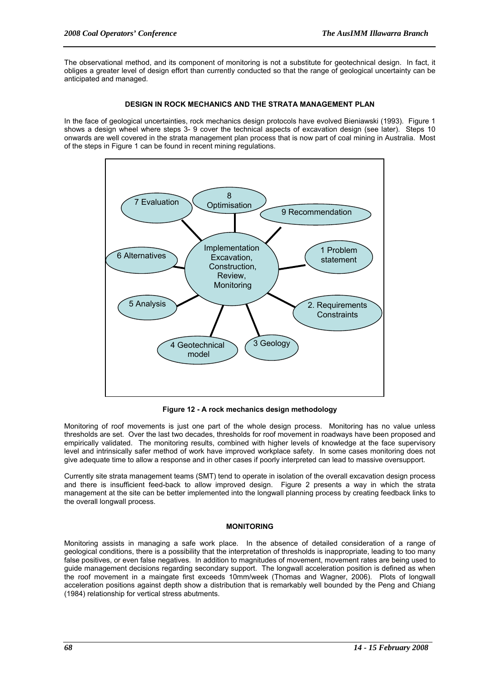The observational method, and its component of monitoring is not a substitute for geotechnical design. In fact, it obliges a greater level of design effort than currently conducted so that the range of geological uncertainty can be anticipated and managed.

#### **DESIGN IN ROCK MECHANICS AND THE STRATA MANAGEMENT PLAN**

In the face of geological uncertainties, rock mechanics design protocols have evolved Bieniawski (1993). Figure 1 shows a design wheel where steps 3- 9 cover the technical aspects of excavation design (see later). Steps 10 onwards are well covered in the strata management plan process that is now part of coal mining in Australia. Most of the steps in Figure 1 can be found in recent mining regulations.



**Figure 12 - A rock mechanics design methodology** 

Monitoring of roof movements is just one part of the whole design process. Monitoring has no value unless thresholds are set. Over the last two decades, thresholds for roof movement in roadways have been proposed and empirically validated. The monitoring results, combined with higher levels of knowledge at the face supervisory level and intrinsically safer method of work have improved workplace safety. In some cases monitoring does not give adequate time to allow a response and in other cases if poorly interpreted can lead to massive oversupport.

Currently site strata management teams (SMT) tend to operate in isolation of the overall excavation design process and there is insufficient feed-back to allow improved design. Figure 2 presents a way in which the strata management at the site can be better implemented into the longwall planning process by creating feedback links to the overall longwall process.

#### **MONITORING**

Monitoring assists in managing a safe work place. In the absence of detailed consideration of a range of geological conditions, there is a possibility that the interpretation of thresholds is inappropriate, leading to too many false positives, or even false negatives. In addition to magnitudes of movement, movement rates are being used to guide management decisions regarding secondary support. The longwall acceleration position is defined as when the roof movement in a maingate first exceeds 10mm/week (Thomas and Wagner, 2006). Plots of longwall acceleration positions against depth show a distribution that is remarkably well bounded by the Peng and Chiang (1984) relationship for vertical stress abutments.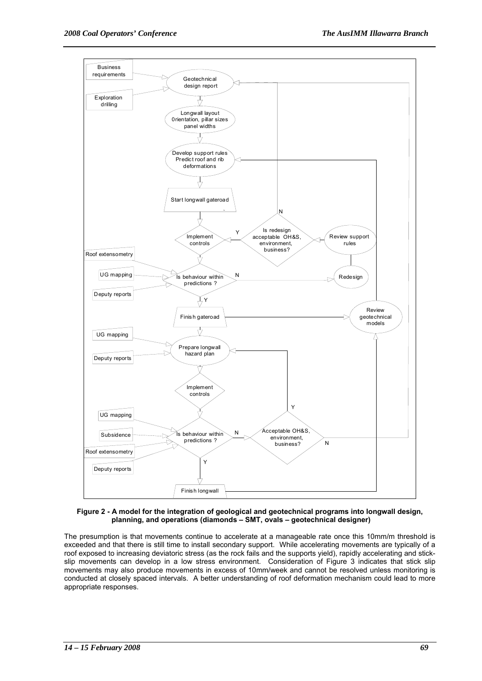

**Figure 2 - A model for the integration of geological and geotechnical programs into longwall design, planning, and operations (diamonds – SMT, ovals – geotechnical designer)** 

The presumption is that movements continue to accelerate at a manageable rate once this 10mm/m threshold is exceeded and that there is still time to install secondary support. While accelerating movements are typically of a roof exposed to increasing deviatoric stress (as the rock fails and the supports yield), rapidly accelerating and stickslip movements can develop in a low stress environment. Consideration of Figure 3 indicates that stick slip movements may also produce movements in excess of 10mm/week and cannot be resolved unless monitoring is conducted at closely spaced intervals. A better understanding of roof deformation mechanism could lead to more appropriate responses.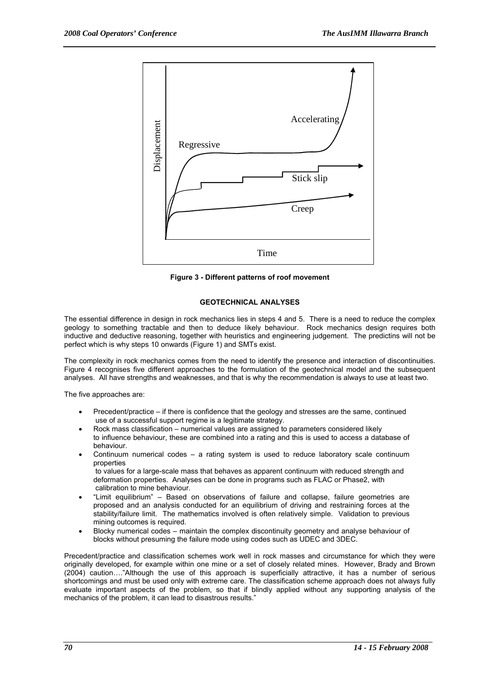

**Figure 3 - Different patterns of roof movement** 

#### **GEOTECHNICAL ANALYSES**

The essential difference in design in rock mechanics lies in steps 4 and 5. There is a need to reduce the complex geology to something tractable and then to deduce likely behaviour. Rock mechanics design requires both inductive and deductive reasoning, together with heuristics and engineering judgement. The predictins will not be perfect which is why steps 10 onwards (Figure 1) and SMTs exist.

The complexity in rock mechanics comes from the need to identify the presence and interaction of discontinuities. Figure 4 recognises five different approaches to the formulation of the geotechnical model and the subsequent analyses. All have strengths and weaknesses, and that is why the recommendation is always to use at least two.

The five approaches are:

- Precedent/practice if there is confidence that the geology and stresses are the same, continued use of a successful support regime is a legitimate strategy.
- Rock mass classification numerical values are assigned to parameters considered likely to influence behaviour, these are combined into a rating and this is used to access a database of behaviour.
- Continuum numerical codes a rating system is used to reduce laboratory scale continuum properties to values for a large-scale mass that behaves as apparent continuum with reduced strength and
- deformation properties. Analyses can be done in programs such as FLAC or Phase2, with calibration to mine behaviour. • "Limit equilibrium" – Based on observations of failure and collapse, failure geometries are
- proposed and an analysis conducted for an equilibrium of driving and restraining forces at the stability/failure limit. The mathematics involved is often relatively simple. Validation to previous mining outcomes is required.
- Blocky numerical codes maintain the complex discontinuity geometry and analyse behaviour of blocks without presuming the failure mode using codes such as UDEC and 3DEC.

Precedent/practice and classification schemes work well in rock masses and circumstance for which they were originally developed, for example within one mine or a set of closely related mines. However, Brady and Brown (2004) caution…."Although the use of this approach is superficially attractive, it has a number of serious shortcomings and must be used only with extreme care. The classification scheme approach does not always fully evaluate important aspects of the problem, so that if blindly applied without any supporting analysis of the mechanics of the problem, it can lead to disastrous results."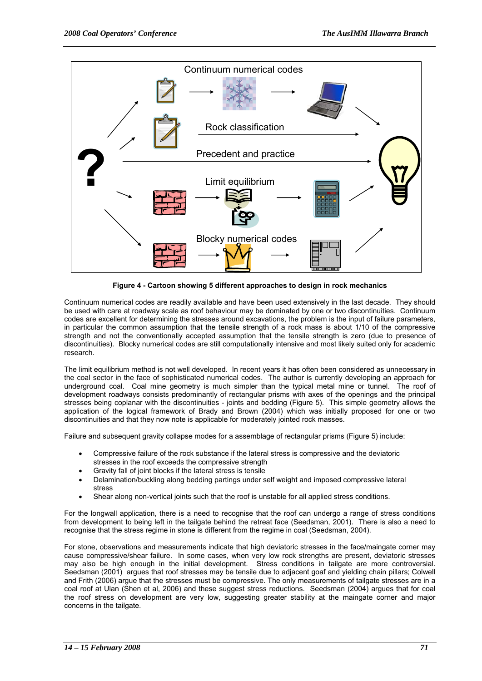

**Figure 4 - Cartoon showing 5 different approaches to design in rock mechanics** 

Continuum numerical codes are readily available and have been used extensively in the last decade. They should be used with care at roadway scale as roof behaviour may be dominated by one or two discontinuities. Continuum codes are excellent for determining the stresses around excavations, the problem is the input of failure parameters, in particular the common assumption that the tensile strength of a rock mass is about 1/10 of the compressive strength and not the conventionally accepted assumption that the tensile strength is zero (due to presence of discontinuities). Blocky numerical codes are still computationally intensive and most likely suited only for academic research.

The limit equilibrium method is not well developed. In recent years it has often been considered as unnecessary in the coal sector in the face of sophisticated numerical codes. The author is currently developing an approach for underground coal. Coal mine geometry is much simpler than the typical metal mine or tunnel. The roof of development roadways consists predominantly of rectangular prisms with axes of the openings and the principal stresses being coplanar with the discontinuities - joints and bedding (Figure 5). This simple geometry allows the application of the logical framework of Brady and Brown (2004) which was initially proposed for one or two discontinuities and that they now note is applicable for moderately jointed rock masses.

Failure and subsequent gravity collapse modes for a assemblage of rectangular prisms (Figure 5) include:

- Compressive failure of the rock substance if the lateral stress is compressive and the deviatoric stresses in the roof exceeds the compressive strength
- Gravity fall of joint blocks if the lateral stress is tensile
- Delamination/buckling along bedding partings under self weight and imposed compressive lateral stress
- Shear along non-vertical joints such that the roof is unstable for all applied stress conditions.

For the longwall application, there is a need to recognise that the roof can undergo a range of stress conditions from development to being left in the tailgate behind the retreat face (Seedsman, 2001). There is also a need to recognise that the stress regime in stone is different from the regime in coal (Seedsman, 2004).

For stone, observations and measurements indicate that high deviatoric stresses in the face/maingate corner may cause compressive/shear failure. In some cases, when very low rock strengths are present, deviatoric stresses may also be high enough in the initial development. Stress conditions in tailgate are more controversial. Seedsman (2001) argues that roof stresses may be tensile due to adjacent goaf and yielding chain pillars; Colwell and Frith (2006) argue that the stresses must be compressive. The only measurements of tailgate stresses are in a coal roof at Ulan (Shen et al, 2006) and these suggest stress reductions. Seedsman (2004) argues that for coal the roof stress on development are very low, suggesting greater stability at the maingate corner and major concerns in the tailgate.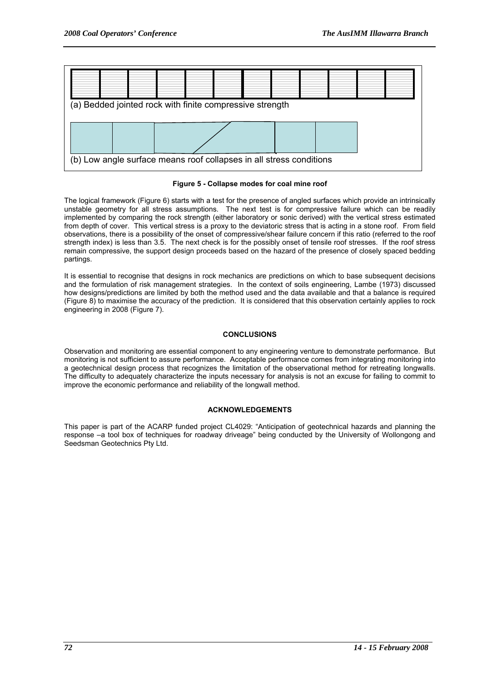

#### **Figure 5 - Collapse modes for coal mine roof**

The logical framework (Figure 6) starts with a test for the presence of angled surfaces which provide an intrinsically unstable geometry for all stress assumptions. The next test is for compressive failure which can be readily implemented by comparing the rock strength (either laboratory or sonic derived) with the vertical stress estimated from depth of cover. This vertical stress is a proxy to the deviatoric stress that is acting in a stone roof. From field observations, there is a possibility of the onset of compressive/shear failure concern if this ratio (referred to the roof strength index) is less than 3.5. The next check is for the possibly onset of tensile roof stresses. If the roof stress remain compressive, the support design proceeds based on the hazard of the presence of closely spaced bedding partings.

It is essential to recognise that designs in rock mechanics are predictions on which to base subsequent decisions and the formulation of risk management strategies. In the context of soils engineering, Lambe (1973) discussed how designs/predictions are limited by both the method used and the data available and that a balance is required (Figure 8) to maximise the accuracy of the prediction. It is considered that this observation certainly applies to rock engineering in 2008 (Figure 7).

#### **CONCLUSIONS**

Observation and monitoring are essential component to any engineering venture to demonstrate performance. But monitoring is not sufficient to assure performance. Acceptable performance comes from integrating monitoring into a geotechnical design process that recognizes the limitation of the observational method for retreating longwalls. The difficulty to adequately characterize the inputs necessary for analysis is not an excuse for failing to commit to improve the economic performance and reliability of the longwall method.

#### **ACKNOWLEDGEMENTS**

This paper is part of the ACARP funded project CL4029: "Anticipation of geotechnical hazards and planning the response –a tool box of techniques for roadway driveage" being conducted by the University of Wollongong and Seedsman Geotechnics Pty Ltd.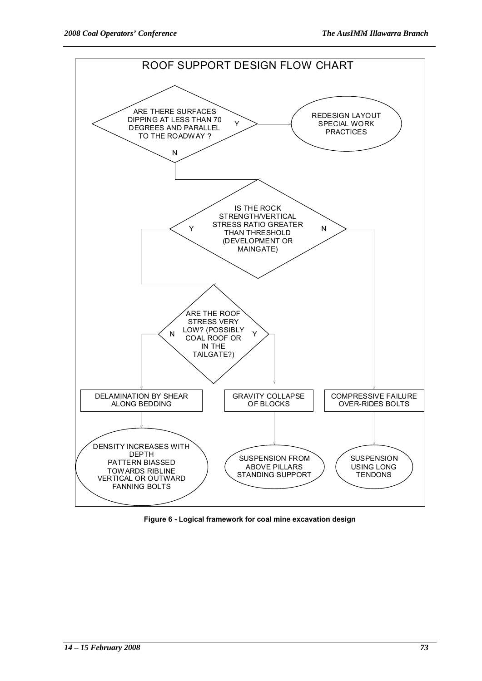

**Figure 6 - Logical framework for coal mine excavation design**